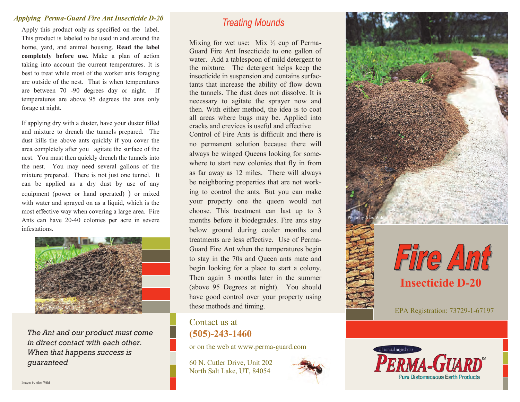## *Applying Perma-Guard Fire Ant Insecticide D-20 Treating Mounds*

Apply this product only as specified on the label. This product is labeled to be used in and around the home, yard, and animal housing. **Read the label completely before use.** Make a plan of action taking into account the current temperatures. It is best to treat while most of the worker ants foraging are outside of the nest. That is when temperatures are between 70 -90 degrees day or night. If temperatures are above 95 degrees the ants only forage at night.

If applying dry with a duster, have your duster filled and mixture to drench the tunnels prepared. The dust kills the above ants quickly if you cover the area completely after you agitate the surface of the nest. You must then quickly drench the tunnels into the nest. You may need several gallons of the mixture prepared. There is not just one tunnel. It can be applied as a dry dust by use of any equipment (power or hand operated) ) or mixed with water and sprayed on as a liquid, which is the most effective way when covering a large area. Fire Ants can have 20-40 colonies per acre in severe infestations.



*The Ant and our product must come in direct contact with each other. When that happens success is guaranteed*

Mixing for wet use: Mix  $\frac{1}{2}$  cup of Perma-Guard Fire Ant Insecticide to one gallon of water. Add a tablespoon of mild detergent to the mixture. The detergent helps keep the insecticide in suspension and contains surfactants that increase the ability of flow down the tunnels. The dust does not dissolve. It is necessary to agitate the sprayer now and then. With either method, the idea is to coat all areas where bugs may be. Applied into cracks and crevices is useful and effective Control of Fire Ants is difficult and there is no permanent solution because there will always be winged Queens looking for somewhere to start new colonies that fly in from as far away as 12 miles. There will always be neighboring properties that are not working to control the ants. But you can make your property one the queen would not choose. This treatment can last up to 3 months before it biodegrades. Fire ants stay below ground during cooler months and treatments are less effective. Use of Perma-Guard Fire Ant when the temperatures begin to stay in the 70s and Queen ants mate and begin looking for a place to start a colony. Then again 3 months later in the summer (above 95 Degrees at night). You should have good control over your property using these methods and timing.

## Contact us at **(505)-243-1460**

or on the web at www.perma-guard.com

60 N. Cutler Drive, Unit 202 North Salt Lake, UT, 84054







EPA Registration: 73729-1-67197